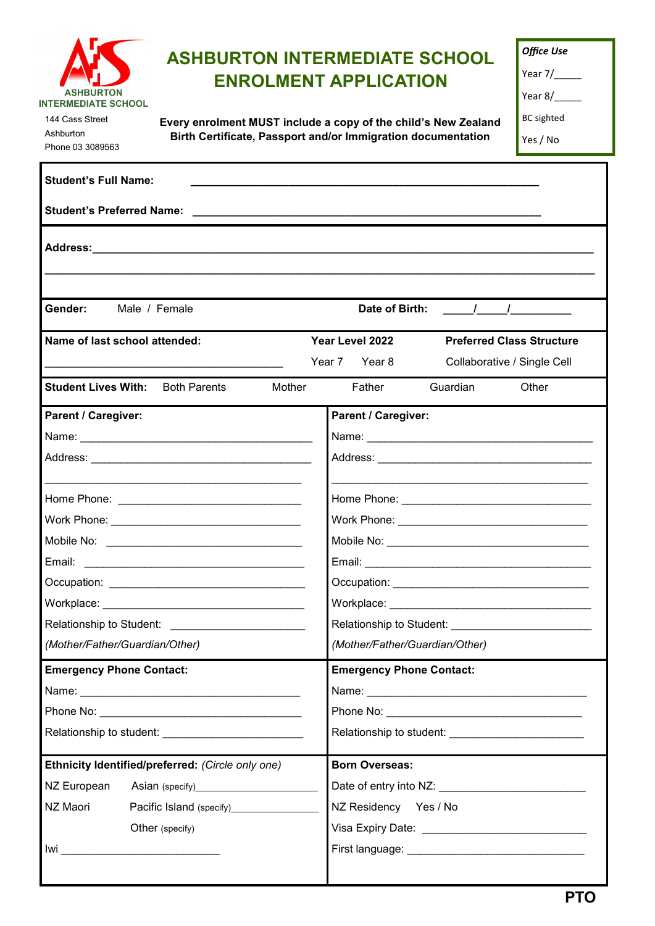

144 Cass Street Ashburton Phone 03 3089563

# **ASHBURTON INTERMEDIATE SCHOOL ENROLMENT APPLICATION**

| Year 7/ |  |  |
|---------|--|--|
|         |  |  |

Year 8/

BC sighted

Yes / No

**Every enrolment MUST include a copy of the child's New Zealand Birth Certificate, Passport and/or Immigration documentation**

| <b>Student's Full Name:</b>                                                                                                                       |                                                                                                     |  |
|---------------------------------------------------------------------------------------------------------------------------------------------------|-----------------------------------------------------------------------------------------------------|--|
|                                                                                                                                                   |                                                                                                     |  |
|                                                                                                                                                   |                                                                                                     |  |
| Gender:<br>Male / Female                                                                                                                          | Date of Birth:<br>$\mathbf{I}$ and $\mathbf{I}$ and $\mathbf{I}$ and $\mathbf{I}$                   |  |
| Name of last school attended:<br>the control of the control of the control of the control of the control of                                       | Year Level 2022<br><b>Preferred Class Structure</b><br>Year 7 Year 8<br>Collaborative / Single Cell |  |
| <b>Student Lives With:</b> Both Parents<br>Mother                                                                                                 | Father<br>Guardian<br>Other                                                                         |  |
| <b>Parent / Caregiver:</b>                                                                                                                        | <b>Parent / Caregiver:</b>                                                                          |  |
|                                                                                                                                                   |                                                                                                     |  |
| Email:                                                                                                                                            |                                                                                                     |  |
|                                                                                                                                                   |                                                                                                     |  |
| Relationship to Student: Network and Contact the Contact of the Contact of the Contact of the Contact of the Co<br>(Mother/Father/Guardian/Other) | (Mother/Father/Guardian/Other)                                                                      |  |
| <b>Emergency Phone Contact:</b>                                                                                                                   | <b>Emergency Phone Contact:</b>                                                                     |  |
| Ethnicity Identified/preferred: (Circle only one)<br>NZ European<br>NZ Maori<br>Pacific Island (specify)<br>Other (specify)                       | <b>Born Overseas:</b><br>NZ Residency Yes / No                                                      |  |
|                                                                                                                                                   |                                                                                                     |  |